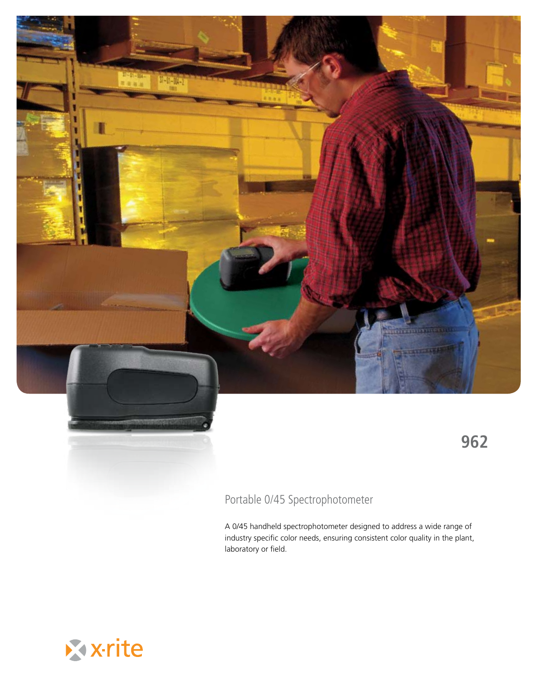

## Portable 0/45 Spectrophotometer

A 0/45 handheld spectrophotometer designed to address a wide range of industry specific color needs, ensuring consistent color quality in the plant, laboratory or field.